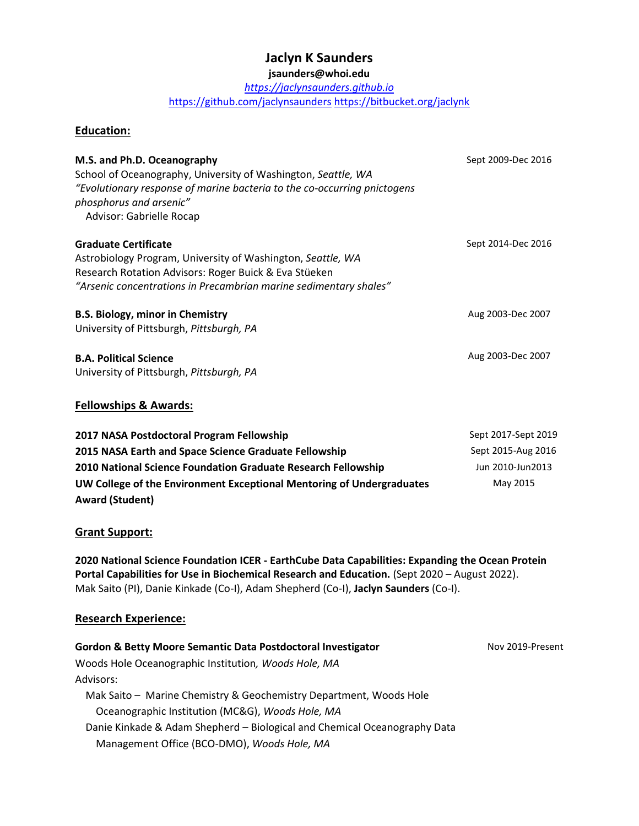## **Jaclyn K Saunders**

### **jsaunders@whoi.edu**

*[https://jaclynsaunders.github.io](https://jaclynsaunders.github.io/)* <https://github.com/jaclynsaunders> <https://bitbucket.org/jaclynk>

#### **Education:**

| M.S. and Ph.D. Oceanography<br>School of Oceanography, University of Washington, Seattle, WA<br>"Evolutionary response of marine bacteria to the co-occurring pnictogens<br>phosphorus and arsenic"<br>Advisor: Gabrielle Rocap | Sept 2009-Dec 2016 |
|---------------------------------------------------------------------------------------------------------------------------------------------------------------------------------------------------------------------------------|--------------------|
| <b>Graduate Certificate</b><br>Astrobiology Program, University of Washington, Seattle, WA<br>Research Rotation Advisors: Roger Buick & Eva Stüeken<br>"Arsenic concentrations in Precambrian marine sedimentary shales"        | Sept 2014-Dec 2016 |
| <b>B.S. Biology, minor in Chemistry</b><br>University of Pittsburgh, Pittsburgh, PA                                                                                                                                             | Aug 2003-Dec 2007  |
| <b>B.A. Political Science</b><br>University of Pittsburgh, Pittsburgh, PA                                                                                                                                                       | Aug 2003-Dec 2007  |

#### **Fellowships & Awards:**

| 2017 NASA Postdoctoral Program Fellowship                             | Sept 2017-Sept 2019 |
|-----------------------------------------------------------------------|---------------------|
| 2015 NASA Earth and Space Science Graduate Fellowship                 | Sept 2015-Aug 2016  |
| 2010 National Science Foundation Graduate Research Fellowship         | Jun 2010-Jun2013    |
| UW College of the Environment Exceptional Mentoring of Undergraduates | May 2015            |
| <b>Award (Student)</b>                                                |                     |

#### **Grant Support:**

**2020 National Science Foundation ICER - EarthCube Data Capabilities: Expanding the Ocean Protein Portal Capabilities for Use in Biochemical Research and Education.** (Sept 2020 – August 2022). Mak Saito (PI), Danie Kinkade (Co-I), Adam Shepherd (Co-I), **Jaclyn Saunders** (Co-I).

#### **Research Experience:**

| <b>Gordon &amp; Betty Moore Semantic Data Postdoctoral Investigator</b>   | Nov 2019-Present |
|---------------------------------------------------------------------------|------------------|
| Woods Hole Oceanographic Institution, Woods Hole, MA                      |                  |
| Advisors:                                                                 |                  |
| Mak Saito - Marine Chemistry & Geochemistry Department, Woods Hole        |                  |
| Oceanographic Institution (MC&G), Woods Hole, MA                          |                  |
| Danie Kinkade & Adam Shepherd - Biological and Chemical Oceanography Data |                  |
| Management Office (BCO-DMO), Woods Hole, MA                               |                  |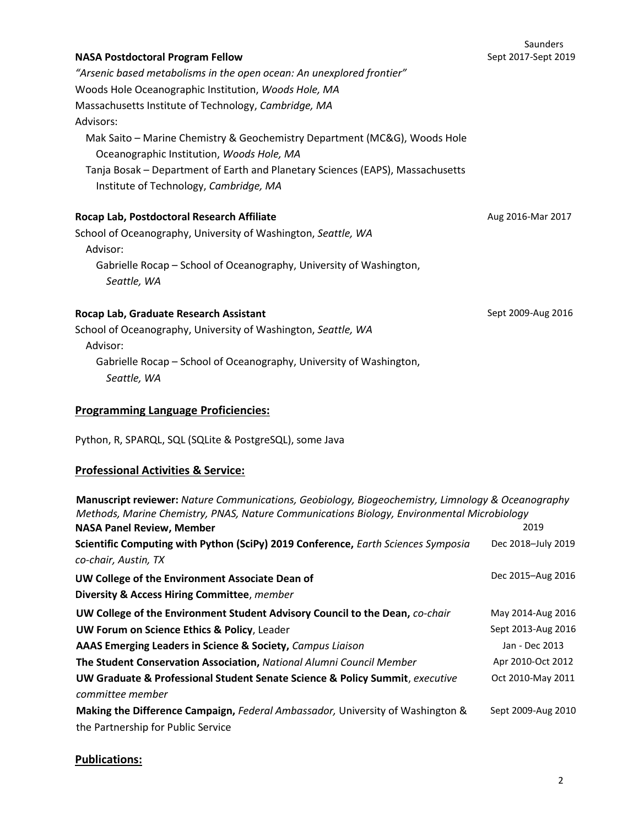# Saunders Sept 2017-Sept 2019

*"Arsenic based metabolisms in the open ocean: An unexplored frontier"* Woods Hole Oceanographic Institution, *Woods Hole, MA* Massachusetts Institute of Technology, *Cambridge, MA* Advisors: Mak Saito – Marine Chemistry & Geochemistry Department (MC&G), Woods Hole Oceanographic Institution, *Woods Hole, MA* Tanja Bosak – Department of Earth and Planetary Sciences (EAPS), Massachusetts

**Rocap Lab, Postdoctoral Research Affiliate**

Institute of Technology, *Cambridge, MA*

**NASA Postdoctoral Program Fellow** 

School of Oceanography, University of Washington, *Seattle, WA* Advisor: Gabrielle Rocap – School of Oceanography, University of Washington,

*Seattle, WA*

### **Rocap Lab, Graduate Research Assistant**

School of Oceanography, University of Washington, *Seattle, WA* Advisor: Gabrielle Rocap – School of Oceanography, University of Washington, *Seattle, WA*

## **Programming Language Proficiencies:**

Python, R, SPARQL, SQL (SQLite & PostgreSQL), some Java

### **Professional Activities & Service:**

| Manuscript reviewer: Nature Communications, Geobiology, Biogeochemistry, Limnology & Oceanography<br>Methods, Marine Chemistry, PNAS, Nature Communications Biology, Environmental Microbiology |                    |
|-------------------------------------------------------------------------------------------------------------------------------------------------------------------------------------------------|--------------------|
| <b>NASA Panel Review, Member</b>                                                                                                                                                                | 2019               |
| Scientific Computing with Python (SciPy) 2019 Conference, Earth Sciences Symposia                                                                                                               | Dec 2018-July 2019 |
| co-chair, Austin, TX                                                                                                                                                                            |                    |
| UW College of the Environment Associate Dean of                                                                                                                                                 | Dec 2015-Aug 2016  |
| Diversity & Access Hiring Committee, member                                                                                                                                                     |                    |
| UW College of the Environment Student Advisory Council to the Dean, co-chair                                                                                                                    | May 2014-Aug 2016  |
| UW Forum on Science Ethics & Policy, Leader                                                                                                                                                     | Sept 2013-Aug 2016 |
| AAAS Emerging Leaders in Science & Society, Campus Liaison                                                                                                                                      | Jan - Dec 2013     |
| The Student Conservation Association, National Alumni Council Member                                                                                                                            | Apr 2010-Oct 2012  |
| <b>UW Graduate &amp; Professional Student Senate Science &amp; Policy Summit</b> , executive                                                                                                    | Oct 2010-May 2011  |
| committee member                                                                                                                                                                                |                    |
| Making the Difference Campaign, Federal Ambassador, University of Washington &                                                                                                                  | Sept 2009-Aug 2010 |
| the Partnership for Public Service                                                                                                                                                              |                    |

### **Publications:**

Aug 2016-Mar 2017

Sept 2009-Aug 2016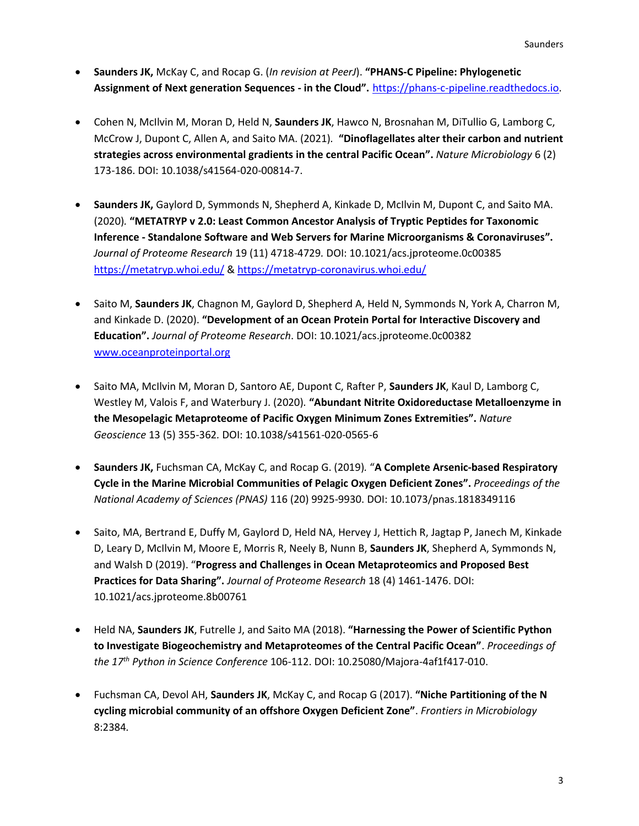- **Saunders JK,** McKay C, and Rocap G. (*In revision at PeerJ*). **"PHANS-C Pipeline: Phylogenetic Assignment of Next generation Sequences - in the Cloud".** [https://phans-c-pipeline.readthedocs.io.](https://phans-c-pipeline.readthedocs.io/)
- Cohen N, McIlvin M, Moran D, Held N, **Saunders JK**, Hawco N, Brosnahan M, DiTullio G, Lamborg C, McCrow J, Dupont C, Allen A, and Saito MA. (2021)*.* **"Dinoflagellates alter their carbon and nutrient strategies across environmental gradients in the central Pacific Ocean".** *Nature Microbiology* 6 (2) 173-186. DOI: 10.1038/s41564-020-00814-7.
- **Saunders JK,** Gaylord D, Symmonds N, Shepherd A, Kinkade D, McIlvin M, Dupont C, and Saito MA. (2020)*.* **"METATRYP v 2.0: Least Common Ancestor Analysis of Tryptic Peptides for Taxonomic Inference - Standalone Software and Web Servers for Marine Microorganisms & Coronaviruses".**  *Journal of Proteome Research* 19 (11) 4718-4729*.* DOI: 10.1021/acs.jproteome.0c00385 <https://metatryp.whoi.edu/> & <https://metatryp-coronavirus.whoi.edu/>
- Saito M, **Saunders JK**, Chagnon M, Gaylord D, Shepherd A, Held N, Symmonds N, York A, Charron M, and Kinkade D. (2020). **"Development of an Ocean Protein Portal for Interactive Discovery and Education".** *Journal of Proteome Research*. DOI: 10.1021/acs.jproteome.0c00382 [www.oceanproteinportal.org](http://www.oceanproteinportal.org/)
- Saito MA, McIlvin M, Moran D, Santoro AE, Dupont C, Rafter P, **Saunders JK**, Kaul D, Lamborg C, Westley M, Valois F, and Waterbury J. (2020)*.* **"Abundant Nitrite Oxidoreductase Metalloenzyme in the Mesopelagic Metaproteome of Pacific Oxygen Minimum Zones Extremities".** *Nature Geoscience* 13 (5) 355-362*.* DOI: 10.1038/s41561-020-0565-6
- **Saunders JK,** Fuchsman CA, McKay C, and Rocap G. (2019)*.* "**A Complete Arsenic-based Respiratory Cycle in the Marine Microbial Communities of Pelagic Oxygen Deficient Zones".** *Proceedings of the National Academy of Sciences (PNAS)* 116 (20) 9925-9930. DOI: 10.1073/pnas.1818349116
- Saito, MA, Bertrand E, Duffy M, Gaylord D, Held NA, Hervey J, Hettich R, Jagtap P, Janech M, Kinkade D, Leary D, McIlvin M, Moore E, Morris R, Neely B, Nunn B, **Saunders JK**, Shepherd A, Symmonds N, and Walsh D (2019). "**Progress and Challenges in Ocean Metaproteomics and Proposed Best Practices for Data Sharing".** *Journal of Proteome Research* 18 (4) 1461-1476. DOI: 10.1021/acs.jproteome.8b00761
- Held NA, **Saunders JK**, Futrelle J, and Saito MA (2018). **"Harnessing the Power of Scientific Python to Investigate Biogeochemistry and Metaproteomes of the Central Pacific Ocean"**. *Proceedings of the 17th Python in Science Conference* 106-112. DOI: 10.25080/Majora-4af1f417-010.
- Fuchsman CA, Devol AH, **Saunders JK**, McKay C, and Rocap G (2017). **"Niche Partitioning of the N cycling microbial community of an offshore Oxygen Deficient Zone"**. *Frontiers in Microbiology* 8:2384*.*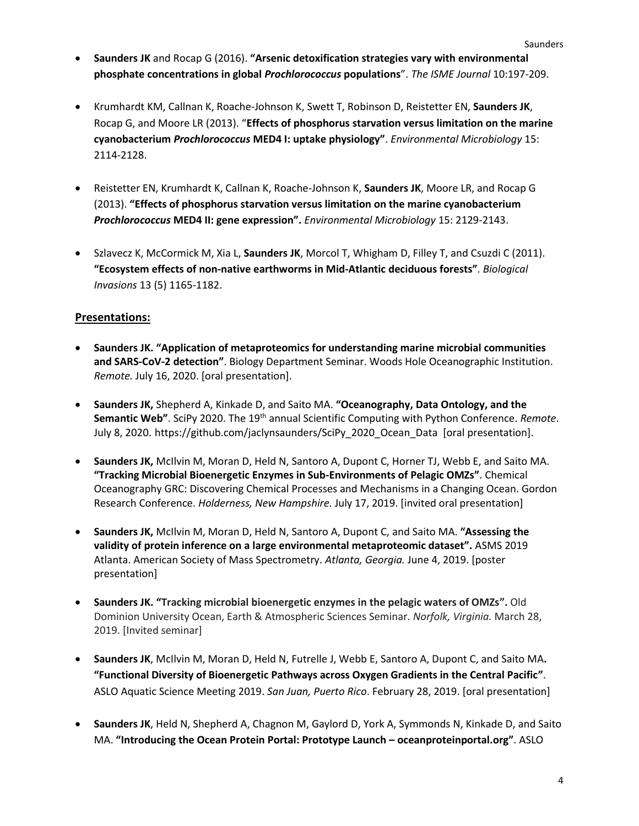- **Saunders JK** and Rocap G (2016). **"Arsenic detoxification strategies vary with environmental phosphate concentrations in global** *Prochlorococcus* **populations**". *The ISME Journal* 10:197-209.
- Krumhardt KM, Callnan K, Roache-Johnson K, Swett T, Robinson D, Reistetter EN, **Saunders JK**, Rocap G, and Moore LR (2013). "**Effects of phosphorus starvation versus limitation on the marine cyanobacterium** *Prochlorococcus* **MED4 I: uptake physiology"**. *Environmental Microbiology* 15: 2114-2128.
- Reistetter EN, Krumhardt K, Callnan K, Roache-Johnson K, **Saunders JK**, Moore LR, and Rocap G (2013). **"Effects of phosphorus starvation versus limitation on the marine cyanobacterium**  *Prochlorococcus* **MED4 II: gene expression".** *Environmental Microbiology* 15: 2129-2143.
- Szlavecz K, McCormick M, Xia L, **Saunders JK**, Morcol T, Whigham D, Filley T, and Csuzdi C (2011). **"Ecosystem effects of non-native earthworms in Mid-Atlantic deciduous forests"**. *Biological Invasions* 13 (5) 1165-1182.

### **Presentations:**

- **Saunders JK. "Application of metaproteomics for understanding marine microbial communities and SARS-CoV-2 detection"**. Biology Department Seminar. Woods Hole Oceanographic Institution. *Remote.* July 16, 2020. [oral presentation].
- **Saunders JK,** Shepherd A, Kinkade D, and Saito MA. **"Oceanography, Data Ontology, and the**  Semantic Web". SciPy 2020. The 19<sup>th</sup> annual Scientific Computing with Python Conference. *Remote*. July 8, 2020. https://github.com/jaclynsaunders/SciPy\_2020\_Ocean\_Data [oral presentation].
- **Saunders JK,** McIlvin M, Moran D, Held N, Santoro A, Dupont C, Horner TJ, Webb E, and Saito MA. **"Tracking Microbial Bioenergetic Enzymes in Sub-Environments of Pelagic OMZs"**. Chemical Oceanography GRC: Discovering Chemical Processes and Mechanisms in a Changing Ocean. Gordon Research Conference. *Holderness, New Hampshire.* July 17, 2019. [invited oral presentation]
- **Saunders JK,** McIlvin M, Moran D, Held N, Santoro A, Dupont C, and Saito MA. **"Assessing the validity of protein inference on a large environmental metaproteomic dataset".** ASMS 2019 Atlanta. American Society of Mass Spectrometry. *Atlanta, Georgia.* June 4, 2019. [poster presentation]
- **Saunders JK. "Tracking microbial bioenergetic enzymes in the pelagic waters of OMZs".** Old Dominion University Ocean, Earth & Atmospheric Sciences Seminar. *Norfolk, Virginia.* March 28, 2019. [Invited seminar]
- **Saunders JK**, McIlvin M, Moran D, Held N, Futrelle J, Webb E, Santoro A, Dupont C, and Saito MA**. "Functional Diversity of Bioenergetic Pathways across Oxygen Gradients in the Central Pacific"**. ASLO Aquatic Science Meeting 2019. *San Juan, Puerto Rico*. February 28, 2019. [oral presentation]
- **Saunders JK**, Held N, Shepherd A, Chagnon M, Gaylord D, York A, Symmonds N, Kinkade D, and Saito MA. **"Introducing the Ocean Protein Portal: Prototype Launch – oceanproteinportal.org"**. ASLO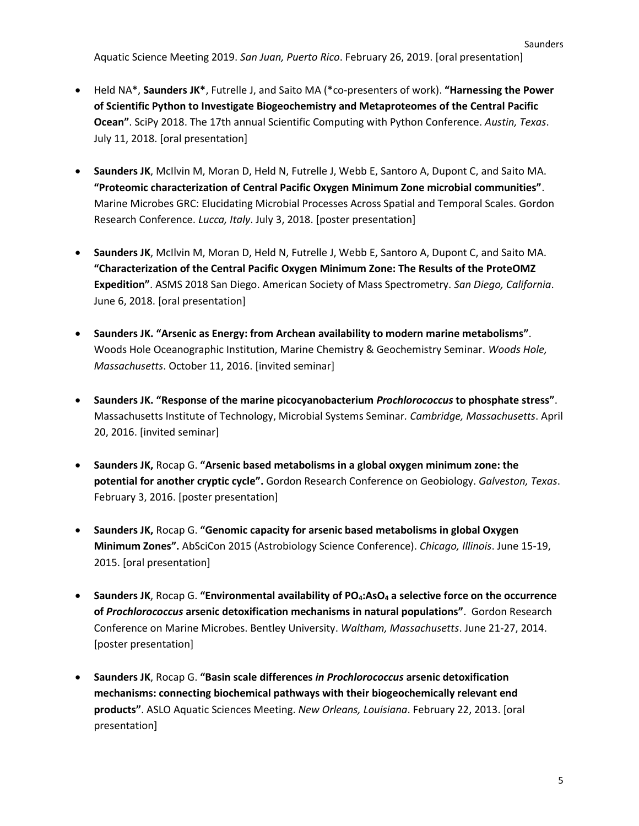Aquatic Science Meeting 2019. *San Juan, Puerto Rico*. February 26, 2019. [oral presentation]

- Held NA\*, **Saunders JK\***, Futrelle J, and Saito MA (\*co-presenters of work). **"Harnessing the Power of Scientific Python to Investigate Biogeochemistry and Metaproteomes of the Central Pacific Ocean"**. SciPy 2018. The 17th annual Scientific Computing with Python Conference. *Austin, Texas*. July 11, 2018. [oral presentation]
- **Saunders JK**, McIlvin M, Moran D, Held N, Futrelle J, Webb E, Santoro A, Dupont C, and Saito MA. **"Proteomic characterization of Central Pacific Oxygen Minimum Zone microbial communities"**. Marine Microbes GRC: Elucidating Microbial Processes Across Spatial and Temporal Scales. Gordon Research Conference. *Lucca, Italy*. July 3, 2018. [poster presentation]
- **Saunders JK**, McIlvin M, Moran D, Held N, Futrelle J, Webb E, Santoro A, Dupont C, and Saito MA. **"Characterization of the Central Pacific Oxygen Minimum Zone: The Results of the ProteOMZ Expedition"**. ASMS 2018 San Diego. American Society of Mass Spectrometry. *San Diego, California*. June 6, 2018. [oral presentation]
- **Saunders JK. "Arsenic as Energy: from Archean availability to modern marine metabolisms"**. Woods Hole Oceanographic Institution, Marine Chemistry & Geochemistry Seminar. *Woods Hole, Massachusetts*. October 11, 2016. [invited seminar]
- **Saunders JK. "Response of the marine picocyanobacterium** *Prochlorococcus* **to phosphate stress"**. Massachusetts Institute of Technology, Microbial Systems Seminar*. Cambridge, Massachusetts*. April 20, 2016. [invited seminar]
- **Saunders JK,** Rocap G. **"Arsenic based metabolisms in a global oxygen minimum zone: the potential for another cryptic cycle".** Gordon Research Conference on Geobiology. *Galveston, Texas*. February 3, 2016. [poster presentation]
- **Saunders JK,** Rocap G. **"Genomic capacity for arsenic based metabolisms in global Oxygen Minimum Zones".** AbSciCon 2015 (Astrobiology Science Conference). *Chicago, Illinois*. June 15-19, 2015. [oral presentation]
- **Saunders JK**, Rocap G. **"Environmental availability of PO4:AsO<sup>4</sup> a selective force on the occurrence of** *Prochlorococcus* **arsenic detoxification mechanisms in natural populations"**. Gordon Research Conference on Marine Microbes. Bentley University. *Waltham, Massachusetts*. June 21-27, 2014. [poster presentation]
- **Saunders JK**, Rocap G. **"Basin scale differences** *in Prochlorococcus* **arsenic detoxification mechanisms: connecting biochemical pathways with their biogeochemically relevant end products"**. ASLO Aquatic Sciences Meeting. *New Orleans, Louisiana*. February 22, 2013. [oral presentation]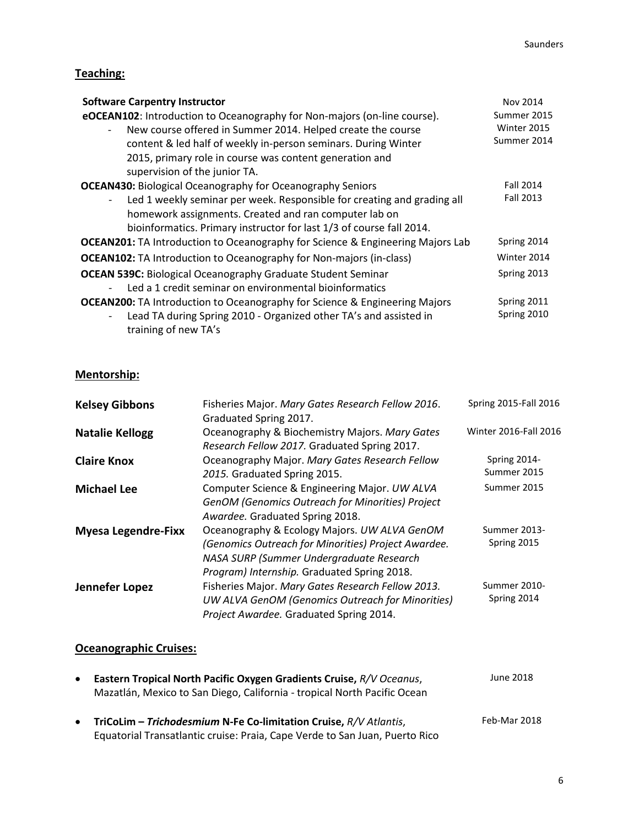# **Teaching:**

| <b>Software Carpentry Instructor</b>                                                  | Nov 2014         |
|---------------------------------------------------------------------------------------|------------------|
| eOCEAN102: Introduction to Oceanography for Non-majors (on-line course).              | Summer 2015      |
| New course offered in Summer 2014. Helped create the course                           | Winter 2015      |
| content & led half of weekly in-person seminars. During Winter                        | Summer 2014      |
| 2015, primary role in course was content generation and                               |                  |
| supervision of the junior TA.                                                         |                  |
| <b>OCEAN430:</b> Biological Oceanography for Oceanography Seniors                     | <b>Fall 2014</b> |
| Led 1 weekly seminar per week. Responsible for creating and grading all               | <b>Fall 2013</b> |
| homework assignments. Created and ran computer lab on                                 |                  |
| bioinformatics. Primary instructor for last 1/3 of course fall 2014.                  |                  |
| <b>OCEAN201:</b> TA Introduction to Oceanography for Science & Engineering Majors Lab | Spring 2014      |
| <b>OCEAN102:</b> TA Introduction to Oceanography for Non-majors (in-class)            | Winter 2014      |
| <b>OCEAN 539C: Biological Oceanography Graduate Student Seminar</b>                   | Spring 2013      |
| Led a 1 credit seminar on environmental bioinformatics                                |                  |
| <b>OCEAN200:</b> TA Introduction to Oceanography for Science & Engineering Majors     | Spring 2011      |
| Lead TA during Spring 2010 - Organized other TA's and assisted in                     | Spring 2010      |
| training of new TA's                                                                  |                  |

## **Mentorship:**

| <b>Kelsey Gibbons</b>      | Fisheries Major. Mary Gates Research Fellow 2016.<br>Graduated Spring 2017.                                                                                                                    | Spring 2015-Fall 2016       |
|----------------------------|------------------------------------------------------------------------------------------------------------------------------------------------------------------------------------------------|-----------------------------|
| <b>Natalie Kellogg</b>     | Oceanography & Biochemistry Majors. Mary Gates<br>Research Fellow 2017. Graduated Spring 2017.                                                                                                 | Winter 2016-Fall 2016       |
| <b>Claire Knox</b>         | Oceanography Major. Mary Gates Research Fellow<br>2015. Graduated Spring 2015.                                                                                                                 | Spring 2014-<br>Summer 2015 |
| <b>Michael Lee</b>         | Computer Science & Engineering Major. UW ALVA<br>GenOM (Genomics Outreach for Minorities) Project<br>Awardee. Graduated Spring 2018.                                                           | Summer 2015                 |
| <b>Myesa Legendre-Fixx</b> | Oceanography & Ecology Majors. UW ALVA GenOM<br>(Genomics Outreach for Minorities) Project Awardee.<br>NASA SURP (Summer Undergraduate Research<br>Program) Internship. Graduated Spring 2018. | Summer 2013-<br>Spring 2015 |
| Jennefer Lopez             | Fisheries Major. Mary Gates Research Fellow 2013.<br>UW ALVA GenOM (Genomics Outreach for Minorities)<br>Project Awardee. Graduated Spring 2014.                                               | Summer 2010-<br>Spring 2014 |

## **Oceanographic Cruises:**

| $\bullet$ | Eastern Tropical North Pacific Oxygen Gradients Cruise, R/V Oceanus,<br>Mazatlán, Mexico to San Diego, California - tropical North Pacific Ocean                     | June 2018    |
|-----------|----------------------------------------------------------------------------------------------------------------------------------------------------------------------|--------------|
|           | <b>TriCoLim – Trichodesmium N-Fe Co-limitation Cruise, <math>R/V</math> Atlantis,</b><br>Equatorial Transatlantic cruise: Praia, Cape Verde to San Juan, Puerto Rico | Feb-Mar 2018 |